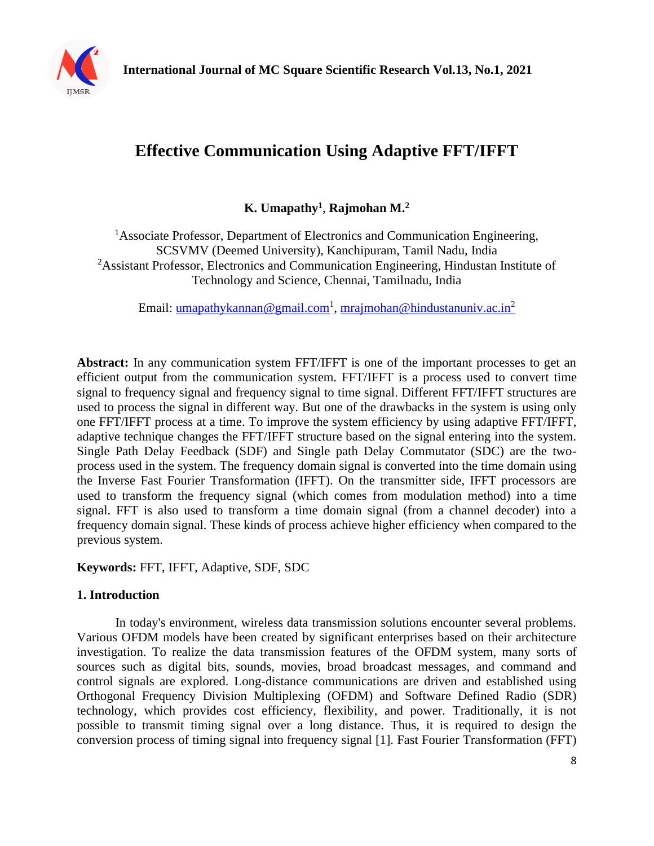

# **Effective Communication Using Adaptive FFT/IFFT**

## **K. Umapathy<sup>1</sup>** , **Rajmohan M.<sup>2</sup>**

<sup>1</sup>Associate Professor, Department of Electronics and Communication Engineering, SCSVMV (Deemed University), Kanchipuram, Tamil Nadu, India <sup>2</sup>Assistant Professor, Electronics and Communication Engineering, Hindustan Institute of Technology and Science, Chennai, Tamilnadu, India

Email: <u>umapathykannan@gmail.com<sup>1</sup>, [mrajmohan@hindustanuniv.ac.in](mailto:mrajmohan@hindustanuniv.ac.in2)<sup>2</sup></u>

**Abstract:** In any communication system FFT/IFFT is one of the important processes to get an efficient output from the communication system. FFT/IFFT is a process used to convert time signal to frequency signal and frequency signal to time signal. Different FFT/IFFT structures are used to process the signal in different way. But one of the drawbacks in the system is using only one FFT/IFFT process at a time. To improve the system efficiency by using adaptive FFT/IFFT, adaptive technique changes the FFT/IFFT structure based on the signal entering into the system. Single Path Delay Feedback (SDF) and Single path Delay Commutator (SDC) are the twoprocess used in the system. The frequency domain signal is converted into the time domain using the Inverse Fast Fourier Transformation (IFFT). On the transmitter side, IFFT processors are used to transform the frequency signal (which comes from modulation method) into a time signal. FFT is also used to transform a time domain signal (from a channel decoder) into a frequency domain signal. These kinds of process achieve higher efficiency when compared to the previous system.

**Keywords:** FFT, IFFT, Adaptive, SDF, SDC

## **1. Introduction**

In today's environment, wireless data transmission solutions encounter several problems. Various OFDM models have been created by significant enterprises based on their architecture investigation. To realize the data transmission features of the OFDM system, many sorts of sources such as digital bits, sounds, movies, broad broadcast messages, and command and control signals are explored. Long-distance communications are driven and established using Orthogonal Frequency Division Multiplexing (OFDM) and Software Defined Radio (SDR) technology, which provides cost efficiency, flexibility, and power. Traditionally, it is not possible to transmit timing signal over a long distance. Thus, it is required to design the conversion process of timing signal into frequency signal [1]. Fast Fourier Transformation (FFT)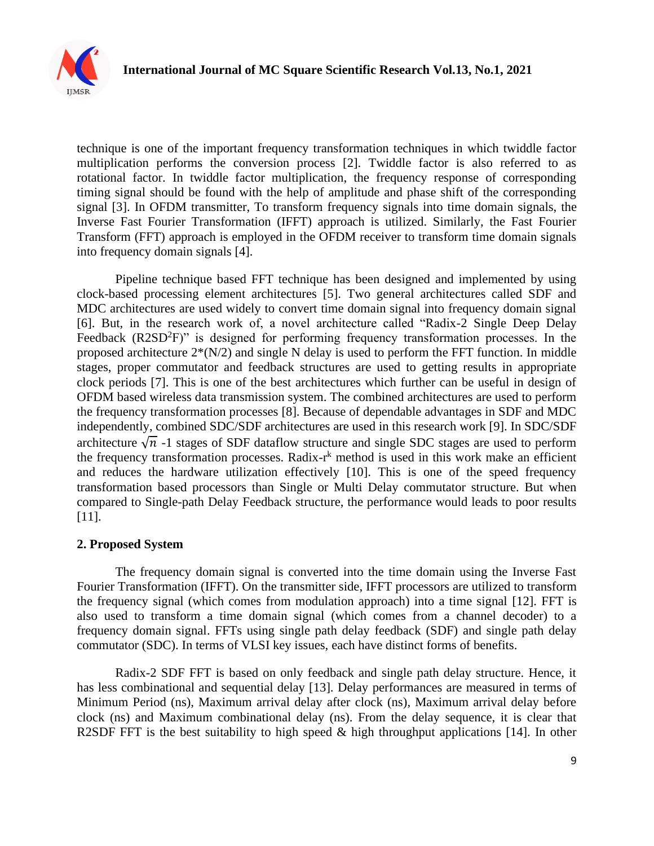

technique is one of the important frequency transformation techniques in which twiddle factor multiplication performs the conversion process [2]. Twiddle factor is also referred to as rotational factor. In twiddle factor multiplication, the frequency response of corresponding timing signal should be found with the help of amplitude and phase shift of the corresponding signal [3]. In OFDM transmitter, To transform frequency signals into time domain signals, the Inverse Fast Fourier Transformation (IFFT) approach is utilized. Similarly, the Fast Fourier Transform (FFT) approach is employed in the OFDM receiver to transform time domain signals into frequency domain signals [4].

Pipeline technique based FFT technique has been designed and implemented by using clock-based processing element architectures [5]. Two general architectures called SDF and MDC architectures are used widely to convert time domain signal into frequency domain signal [6]. But, in the research work of, a novel architecture called "Radix-2 Single Deep Delay Feedback  $(R2SD<sup>2</sup>F)$ " is designed for performing frequency transformation processes. In the proposed architecture  $2*(N/2)$  and single N delay is used to perform the FFT function. In middle stages, proper commutator and feedback structures are used to getting results in appropriate clock periods [7]. This is one of the best architectures which further can be useful in design of OFDM based wireless data transmission system. The combined architectures are used to perform the frequency transformation processes [8]. Because of dependable advantages in SDF and MDC independently, combined SDC/SDF architectures are used in this research work [9]. In SDC/SDF architecture  $\sqrt{n}$  -1 stages of SDF dataflow structure and single SDC stages are used to perform the frequency transformation processes. Radix-r<sup>k</sup> method is used in this work make an efficient and reduces the hardware utilization effectively [10]. This is one of the speed frequency transformation based processors than Single or Multi Delay commutator structure. But when compared to Single-path Delay Feedback structure, the performance would leads to poor results [11].

## **2. Proposed System**

The frequency domain signal is converted into the time domain using the Inverse Fast Fourier Transformation (IFFT). On the transmitter side, IFFT processors are utilized to transform the frequency signal (which comes from modulation approach) into a time signal [12]. FFT is also used to transform a time domain signal (which comes from a channel decoder) to a frequency domain signal. FFTs using single path delay feedback (SDF) and single path delay commutator (SDC). In terms of VLSI key issues, each have distinct forms of benefits.

Radix-2 SDF FFT is based on only feedback and single path delay structure. Hence, it has less combinational and sequential delay [13]. Delay performances are measured in terms of Minimum Period (ns), Maximum arrival delay after clock (ns), Maximum arrival delay before clock (ns) and Maximum combinational delay (ns). From the delay sequence, it is clear that R2SDF FFT is the best suitability to high speed  $\&$  high throughput applications [14]. In other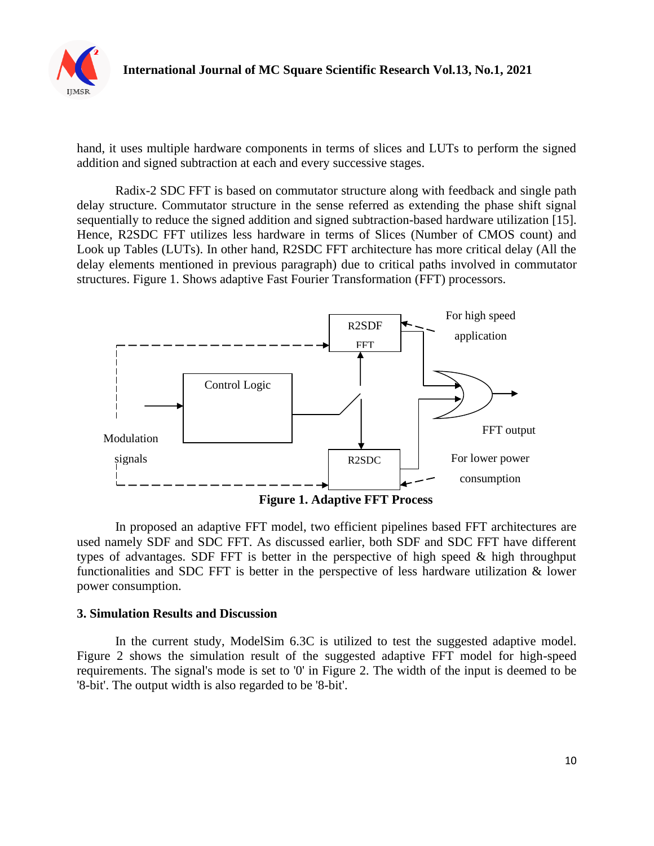

hand, it uses multiple hardware components in terms of slices and LUTs to perform the signed addition and signed subtraction at each and every successive stages.

Radix-2 SDC FFT is based on commutator structure along with feedback and single path delay structure. Commutator structure in the sense referred as extending the phase shift signal sequentially to reduce the signed addition and signed subtraction-based hardware utilization [15]. Hence, R2SDC FFT utilizes less hardware in terms of Slices (Number of CMOS count) and Look up Tables (LUTs). In other hand, R2SDC FFT architecture has more critical delay (All the delay elements mentioned in previous paragraph) due to critical paths involved in commutator structures. Figure 1. Shows adaptive Fast Fourier Transformation (FFT) processors.



In proposed an adaptive FFT model, two efficient pipelines based FFT architectures are used namely SDF and SDC FFT. As discussed earlier, both SDF and SDC FFT have different types of advantages. SDF FFT is better in the perspective of high speed & high throughput functionalities and SDC FFT is better in the perspective of less hardware utilization & lower power consumption.

### **3. Simulation Results and Discussion**

In the current study, ModelSim 6.3C is utilized to test the suggested adaptive model. Figure 2 shows the simulation result of the suggested adaptive FFT model for high-speed requirements. The signal's mode is set to '0' in Figure 2. The width of the input is deemed to be '8-bit'. The output width is also regarded to be '8-bit'.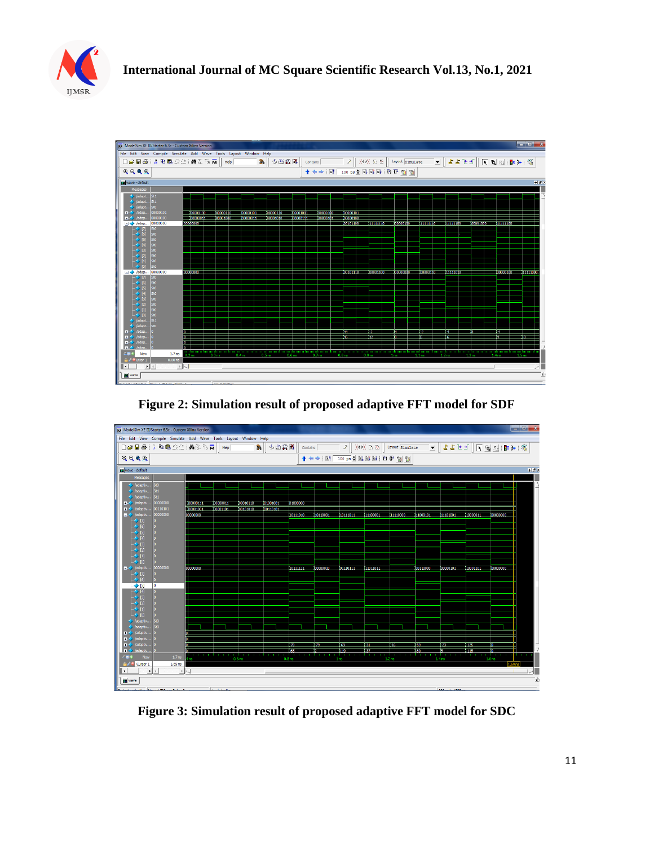



**Figure 2: Simulation result of proposed adaptive FFT model for SDF**



**Figure 3: Simulation result of proposed adaptive FFT model for SDC**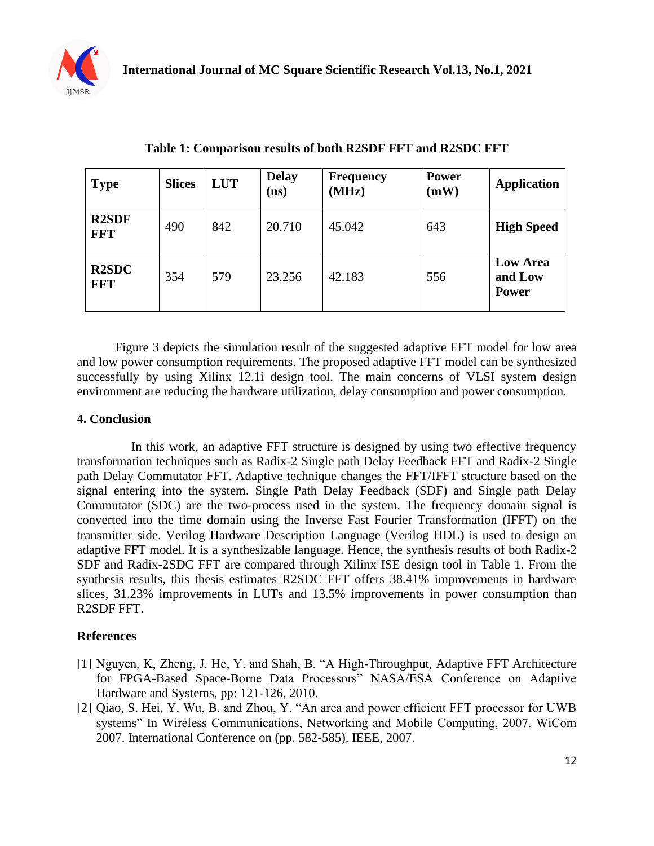

| <b>Type</b>                | <b>Slices</b> | <b>LUT</b> | <b>Delay</b><br>(ns) | <b>Frequency</b><br>(MHz) | <b>Power</b><br>(mW) | <b>Application</b>                         |
|----------------------------|---------------|------------|----------------------|---------------------------|----------------------|--------------------------------------------|
| <b>R2SDF</b><br><b>FFT</b> | 490           | 842        | 20.710               | 45.042                    | 643                  | <b>High Speed</b>                          |
| <b>R2SDC</b><br><b>FFT</b> | 354           | 579        | 23.256               | 42.183                    | 556                  | <b>Low Area</b><br>and Low<br><b>Power</b> |

**Table 1: Comparison results of both R2SDF FFT and R2SDC FFT**

Figure 3 depicts the simulation result of the suggested adaptive FFT model for low area and low power consumption requirements. The proposed adaptive FFT model can be synthesized successfully by using Xilinx 12.1i design tool. The main concerns of VLSI system design environment are reducing the hardware utilization, delay consumption and power consumption.

#### **4. Conclusion**

 In this work, an adaptive FFT structure is designed by using two effective frequency transformation techniques such as Radix-2 Single path Delay Feedback FFT and Radix-2 Single path Delay Commutator FFT. Adaptive technique changes the FFT/IFFT structure based on the signal entering into the system. Single Path Delay Feedback (SDF) and Single path Delay Commutator (SDC) are the two-process used in the system. The frequency domain signal is converted into the time domain using the Inverse Fast Fourier Transformation (IFFT) on the transmitter side. Verilog Hardware Description Language (Verilog HDL) is used to design an adaptive FFT model. It is a synthesizable language. Hence, the synthesis results of both Radix-2 SDF and Radix-2SDC FFT are compared through Xilinx ISE design tool in Table 1. From the synthesis results, this thesis estimates R2SDC FFT offers 38.41% improvements in hardware slices, 31.23% improvements in LUTs and 13.5% improvements in power consumption than R2SDF FFT.

### **References**

- [1] Nguyen, K, Zheng, J. He, Y. and Shah, B. "A High-Throughput, Adaptive FFT Architecture for FPGA-Based Space-Borne Data Processors" NASA/ESA Conference on Adaptive Hardware and Systems, pp: 121-126, 2010.
- [2] Qiao, S. Hei, Y. Wu, B. and Zhou, Y. "An area and power efficient FFT processor for UWB systems" In Wireless Communications, Networking and Mobile Computing, 2007. WiCom 2007. International Conference on (pp. 582-585). IEEE, 2007.